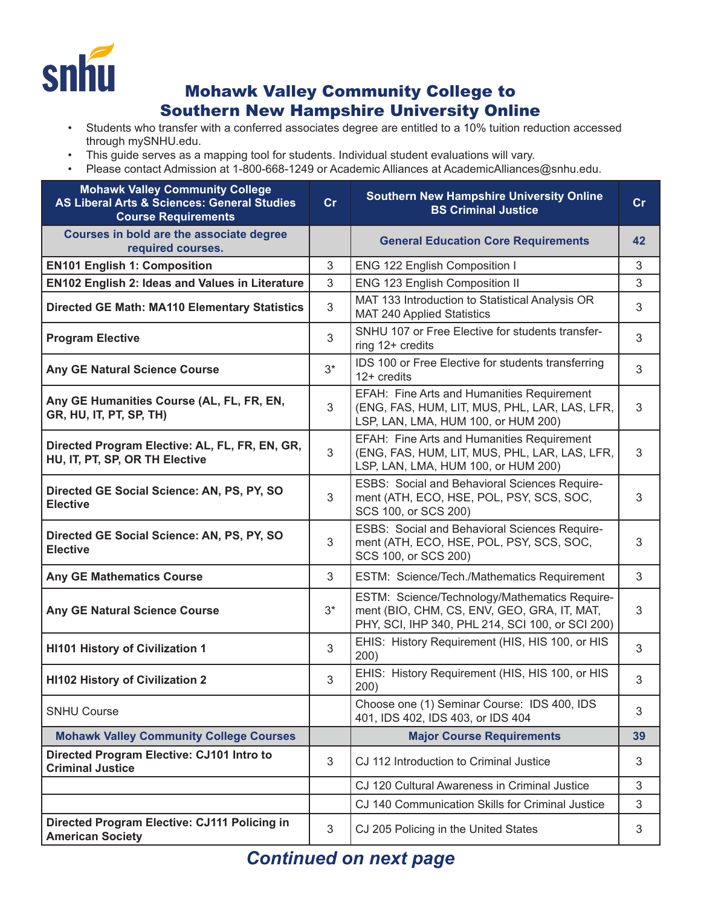

## Mohawk Valley Community College to Southern New Hampshire University Online

- Students who transfer with a conferred associates degree are entitled to a 10% tuition reduction accessed through mySNHU.edu.
- This guide serves as a mapping tool for students. Individual student evaluations will vary.
- Please contact Admission at 1-800-668-1249 or Academic Alliances at AcademicAlliances@snhu.edu.

| <b>Mohawk Valley Community College</b><br><b>AS Liberal Arts &amp; Sciences: General Studies</b><br><b>Course Requirements</b> | cr    | <b>Southern New Hampshire University Online</b><br><b>BS Criminal Justice</b>                                                                    | cr |
|--------------------------------------------------------------------------------------------------------------------------------|-------|--------------------------------------------------------------------------------------------------------------------------------------------------|----|
| Courses in bold are the associate degree<br>required courses.                                                                  |       | <b>General Education Core Requirements</b>                                                                                                       | 42 |
| <b>EN101 English 1: Composition</b>                                                                                            | 3     | ENG 122 English Composition I                                                                                                                    | 3  |
| <b>EN102 English 2: Ideas and Values in Literature</b>                                                                         | 3     | ENG 123 English Composition II                                                                                                                   | 3  |
| <b>Directed GE Math: MA110 Elementary Statistics</b>                                                                           | 3     | MAT 133 Introduction to Statistical Analysis OR<br><b>MAT 240 Applied Statistics</b>                                                             | 3  |
| <b>Program Elective</b>                                                                                                        | 3     | SNHU 107 or Free Elective for students transfer-<br>ring 12+ credits                                                                             | 3  |
| Any GE Natural Science Course                                                                                                  | $3^*$ | IDS 100 or Free Elective for students transferring<br>12+ credits                                                                                | 3  |
| Any GE Humanities Course (AL, FL, FR, EN,<br>GR, HU, IT, PT, SP, TH)                                                           | 3     | EFAH: Fine Arts and Humanities Requirement<br>(ENG, FAS, HUM, LIT, MUS, PHL, LAR, LAS, LFR,<br>LSP, LAN, LMA, HUM 100, or HUM 200)               | 3  |
| Directed Program Elective: AL, FL, FR, EN, GR,<br>HU, IT, PT, SP, OR TH Elective                                               | 3     | EFAH: Fine Arts and Humanities Requirement<br>(ENG, FAS, HUM, LIT, MUS, PHL, LAR, LAS, LFR,<br>LSP, LAN, LMA, HUM 100, or HUM 200)               | 3  |
| Directed GE Social Science: AN, PS, PY, SO<br><b>Elective</b>                                                                  | 3     | ESBS: Social and Behavioral Sciences Require-<br>ment (ATH, ECO, HSE, POL, PSY, SCS, SOC,<br>SCS 100, or SCS 200)                                | 3  |
| Directed GE Social Science: AN, PS, PY, SO<br><b>Elective</b>                                                                  | 3     | ESBS: Social and Behavioral Sciences Require-<br>ment (ATH, ECO, HSE, POL, PSY, SCS, SOC,<br>SCS 100, or SCS 200)                                | 3  |
| <b>Any GE Mathematics Course</b>                                                                                               | 3     | ESTM: Science/Tech./Mathematics Requirement                                                                                                      | 3  |
| <b>Any GE Natural Science Course</b>                                                                                           | $3^*$ | ESTM: Science/Technology/Mathematics Require-<br>ment (BIO, CHM, CS, ENV, GEO, GRA, IT, MAT,<br>PHY, SCI, IHP 340, PHL 214, SCI 100, or SCI 200) | 3  |
| <b>HI101 History of Civilization 1</b>                                                                                         | 3     | EHIS: History Requirement (HIS, HIS 100, or HIS<br>200)                                                                                          | 3  |
| <b>HI102 History of Civilization 2</b>                                                                                         | 3     | EHIS: History Requirement (HIS, HIS 100, or HIS<br>200)                                                                                          | 3  |
| <b>SNHU Course</b>                                                                                                             |       | Choose one (1) Seminar Course: IDS 400, IDS<br>401, IDS 402, IDS 403, or IDS 404                                                                 | 3  |
| <b>Mohawk Valley Community College Courses</b>                                                                                 |       | <b>Major Course Requirements</b>                                                                                                                 | 39 |
| Directed Program Elective: CJ101 Intro to<br><b>Criminal Justice</b>                                                           | 3     | CJ 112 Introduction to Criminal Justice                                                                                                          | 3  |
|                                                                                                                                |       | CJ 120 Cultural Awareness in Criminal Justice                                                                                                    | 3  |
|                                                                                                                                |       | CJ 140 Communication Skills for Criminal Justice                                                                                                 | 3  |
| Directed Program Elective: CJ111 Policing in<br><b>American Society</b>                                                        | 3     | CJ 205 Policing in the United States                                                                                                             | 3  |

## *Continued on next page*